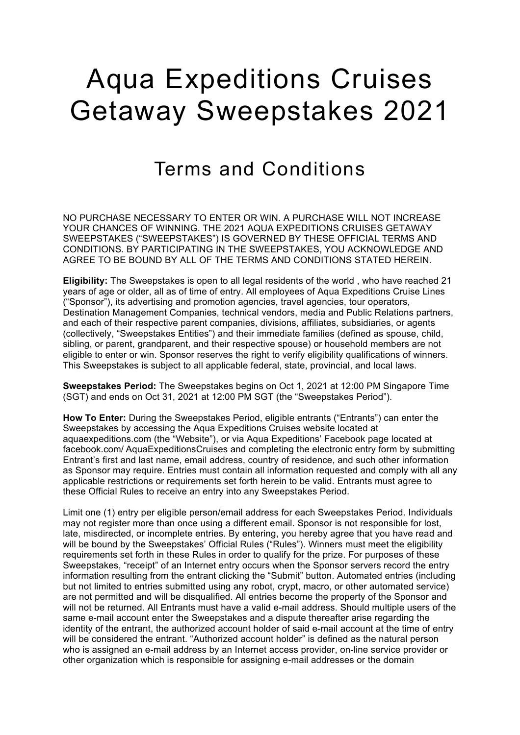## Aqua Expeditions Cruises Getaway Sweepstakes 2021

## Terms and Conditions

NO PURCHASE NECESSARY TO ENTER OR WIN. A PURCHASE WILL NOT INCREASE YOUR CHANCES OF WINNING. THE 2021 AQUA EXPEDITIONS CRUISES GETAWAY SWEEPSTAKES ("SWEEPSTAKES") IS GOVERNED BY THESE OFFICIAL TERMS AND CONDITIONS. BY PARTICIPATING IN THE SWEEPSTAKES, YOU ACKNOWLEDGE AND AGREE TO BE BOUND BY ALL OF THE TERMS AND CONDITIONS STATED HEREIN.

**Eligibility:** The Sweepstakes is open to all legal residents of the world , who have reached 21 years of age or older, all as of time of entry. All employees of Aqua Expeditions Cruise Lines ("Sponsor"), its advertising and promotion agencies, travel agencies, tour operators, Destination Management Companies, technical vendors, media and Public Relations partners, and each of their respective parent companies, divisions, affiliates, subsidiaries, or agents (collectively, "Sweepstakes Entities") and their immediate families (defined as spouse, child, sibling, or parent, grandparent, and their respective spouse) or household members are not eligible to enter or win. Sponsor reserves the right to verify eligibility qualifications of winners. This Sweepstakes is subject to all applicable federal, state, provincial, and local laws.

**Sweepstakes Period:** The Sweepstakes begins on Oct 1, 2021 at 12:00 PM Singapore Time (SGT) and ends on Oct 31, 2021 at 12:00 PM SGT (the "Sweepstakes Period").

**How To Enter:** During the Sweepstakes Period, eligible entrants ("Entrants") can enter the Sweepstakes by accessing the Aqua Expeditions Cruises website located at aquaexpeditions.com (the "Website"), or via Aqua Expeditions' Facebook page located at facebook.com/ AquaExpeditionsCruises and completing the electronic entry form by submitting Entrant's first and last name, email address, country of residence, and such other information as Sponsor may require. Entries must contain all information requested and comply with all any applicable restrictions or requirements set forth herein to be valid. Entrants must agree to these Official Rules to receive an entry into any Sweepstakes Period.

Limit one (1) entry per eligible person/email address for each Sweepstakes Period. Individuals may not register more than once using a different email. Sponsor is not responsible for lost, late, misdirected, or incomplete entries. By entering, you hereby agree that you have read and will be bound by the Sweepstakes' Official Rules ("Rules"). Winners must meet the eligibility requirements set forth in these Rules in order to qualify for the prize. For purposes of these Sweepstakes, "receipt" of an Internet entry occurs when the Sponsor servers record the entry information resulting from the entrant clicking the "Submit" button. Automated entries (including but not limited to entries submitted using any robot, crypt, macro, or other automated service) are not permitted and will be disqualified. All entries become the property of the Sponsor and will not be returned. All Entrants must have a valid e-mail address. Should multiple users of the same e-mail account enter the Sweepstakes and a dispute thereafter arise regarding the identity of the entrant, the authorized account holder of said e-mail account at the time of entry will be considered the entrant. "Authorized account holder" is defined as the natural person who is assigned an e-mail address by an Internet access provider, on-line service provider or other organization which is responsible for assigning e-mail addresses or the domain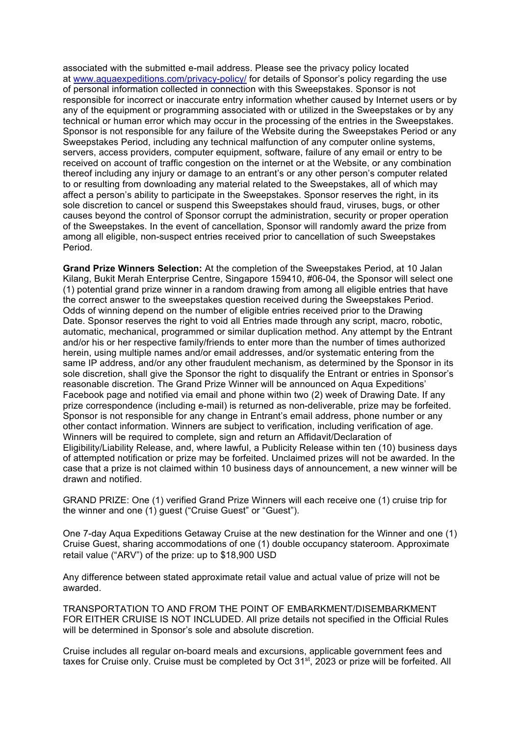associated with the submitted e-mail address. Please see the privacy policy located at www.aquaexpeditions.com/privacy-policy/ for details of Sponsor's policy regarding the use of personal information collected in connection with this Sweepstakes. Sponsor is not responsible for incorrect or inaccurate entry information whether caused by Internet users or by any of the equipment or programming associated with or utilized in the Sweepstakes or by any technical or human error which may occur in the processing of the entries in the Sweepstakes. Sponsor is not responsible for any failure of the Website during the Sweepstakes Period or any Sweepstakes Period, including any technical malfunction of any computer online systems, servers, access providers, computer equipment, software, failure of any email or entry to be received on account of traffic congestion on the internet or at the Website, or any combination thereof including any injury or damage to an entrant's or any other person's computer related to or resulting from downloading any material related to the Sweepstakes, all of which may affect a person's ability to participate in the Sweepstakes. Sponsor reserves the right, in its sole discretion to cancel or suspend this Sweepstakes should fraud, viruses, bugs, or other causes beyond the control of Sponsor corrupt the administration, security or proper operation of the Sweepstakes. In the event of cancellation, Sponsor will randomly award the prize from among all eligible, non-suspect entries received prior to cancellation of such Sweepstakes Period.

**Grand Prize Winners Selection:** At the completion of the Sweepstakes Period, at 10 Jalan Kilang, Bukit Merah Enterprise Centre, Singapore 159410, #06-04, the Sponsor will select one (1) potential grand prize winner in a random drawing from among all eligible entries that have the correct answer to the sweepstakes question received during the Sweepstakes Period. Odds of winning depend on the number of eligible entries received prior to the Drawing Date. Sponsor reserves the right to void all Entries made through any script, macro, robotic, automatic, mechanical, programmed or similar duplication method. Any attempt by the Entrant and/or his or her respective family/friends to enter more than the number of times authorized herein, using multiple names and/or email addresses, and/or systematic entering from the same IP address, and/or any other fraudulent mechanism, as determined by the Sponsor in its sole discretion, shall give the Sponsor the right to disqualify the Entrant or entries in Sponsor's reasonable discretion. The Grand Prize Winner will be announced on Aqua Expeditions' Facebook page and notified via email and phone within two (2) week of Drawing Date. If any prize correspondence (including e-mail) is returned as non-deliverable, prize may be forfeited. Sponsor is not responsible for any change in Entrant's email address, phone number or any other contact information. Winners are subject to verification, including verification of age. Winners will be required to complete, sign and return an Affidavit/Declaration of Eligibility/Liability Release, and, where lawful, a Publicity Release within ten (10) business days of attempted notification or prize may be forfeited. Unclaimed prizes will not be awarded. In the case that a prize is not claimed within 10 business days of announcement, a new winner will be drawn and notified.

GRAND PRIZE: One (1) verified Grand Prize Winners will each receive one (1) cruise trip for the winner and one (1) guest ("Cruise Guest" or "Guest").

One 7-day Aqua Expeditions Getaway Cruise at the new destination for the Winner and one (1) Cruise Guest, sharing accommodations of one (1) double occupancy stateroom. Approximate retail value ("ARV") of the prize: up to \$18,900 USD

Any difference between stated approximate retail value and actual value of prize will not be awarded.

TRANSPORTATION TO AND FROM THE POINT OF EMBARKMENT/DISEMBARKMENT FOR EITHER CRUISE IS NOT INCLUDED. All prize details not specified in the Official Rules will be determined in Sponsor's sole and absolute discretion.

Cruise includes all regular on-board meals and excursions, applicable government fees and taxes for Cruise only. Cruise must be completed by Oct 31<sup>st</sup>, 2023 or prize will be forfeited. All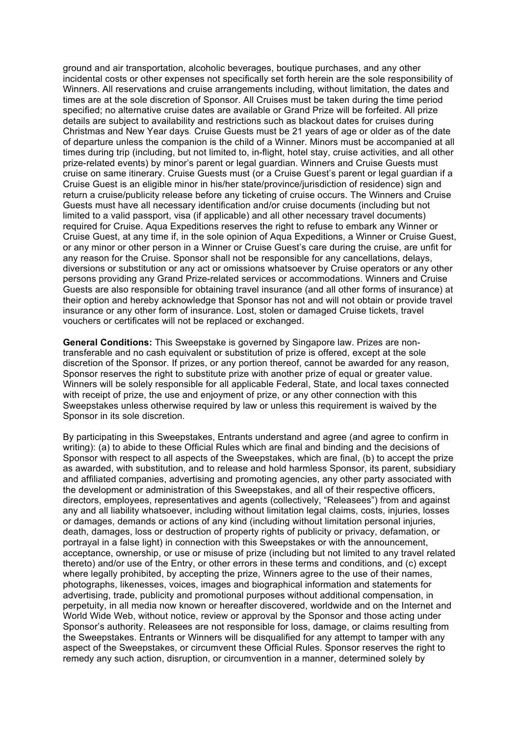ground and air transportation, alcoholic beverages, boutique purchases, and any other incidental costs or other expenses not specifically set forth herein are the sole responsibility of Winners. All reservations and cruise arrangements including, without limitation, the dates and times are at the sole discretion of Sponsor. All Cruises must be taken during the time period specified; no alternative cruise dates are available or Grand Prize will be forfeited. All prize details are subject to availability and restrictions such as blackout dates for cruises during Christmas and New Year days. Cruise Guests must be 21 years of age or older as of the date of departure unless the companion is the child of a Winner. Minors must be accompanied at all times during trip (including, but not limited to, in-flight, hotel stay, cruise activities, and all other prize-related events) by minor's parent or legal guardian. Winners and Cruise Guests must cruise on same itinerary. Cruise Guests must (or a Cruise Guest's parent or legal guardian if a Cruise Guest is an eligible minor in his/her state/province/jurisdiction of residence) sign and return a cruise/publicity release before any ticketing of cruise occurs. The Winners and Cruise Guests must have all necessary identification and/or cruise documents (including but not limited to a valid passport, visa (if applicable) and all other necessary travel documents) required for Cruise. Aqua Expeditions reserves the right to refuse to embark any Winner or Cruise Guest, at any time if, in the sole opinion of Aqua Expeditions, a Winner or Cruise Guest, or any minor or other person in a Winner or Cruise Guest's care during the cruise, are unfit for any reason for the Cruise. Sponsor shall not be responsible for any cancellations, delays, diversions or substitution or any act or omissions whatsoever by Cruise operators or any other persons providing any Grand Prize-related services or accommodations. Winners and Cruise Guests are also responsible for obtaining travel insurance (and all other forms of insurance) at their option and hereby acknowledge that Sponsor has not and will not obtain or provide travel insurance or any other form of insurance. Lost, stolen or damaged Cruise tickets, travel vouchers or certificates will not be replaced or exchanged.

**General Conditions:** This Sweepstake is governed by Singapore law. Prizes are nontransferable and no cash equivalent or substitution of prize is offered, except at the sole discretion of the Sponsor. If prizes, or any portion thereof, cannot be awarded for any reason, Sponsor reserves the right to substitute prize with another prize of equal or greater value. Winners will be solely responsible for all applicable Federal, State, and local taxes connected with receipt of prize, the use and enjoyment of prize, or any other connection with this Sweepstakes unless otherwise required by law or unless this requirement is waived by the Sponsor in its sole discretion.

By participating in this Sweepstakes, Entrants understand and agree (and agree to confirm in writing): (a) to abide to these Official Rules which are final and binding and the decisions of Sponsor with respect to all aspects of the Sweepstakes, which are final, (b) to accept the prize as awarded, with substitution, and to release and hold harmless Sponsor, its parent, subsidiary and affiliated companies, advertising and promoting agencies, any other party associated with the development or administration of this Sweepstakes, and all of their respective officers, directors, employees, representatives and agents (collectively, "Releasees") from and against any and all liability whatsoever, including without limitation legal claims, costs, injuries, losses or damages, demands or actions of any kind (including without limitation personal injuries, death, damages, loss or destruction of property rights of publicity or privacy, defamation, or portrayal in a false light) in connection with this Sweepstakes or with the announcement, acceptance, ownership, or use or misuse of prize (including but not limited to any travel related thereto) and/or use of the Entry, or other errors in these terms and conditions, and (c) except where legally prohibited, by accepting the prize, Winners agree to the use of their names, photographs, likenesses, voices, images and biographical information and statements for advertising, trade, publicity and promotional purposes without additional compensation, in perpetuity, in all media now known or hereafter discovered, worldwide and on the Internet and World Wide Web, without notice, review or approval by the Sponsor and those acting under Sponsor's authority. Releasees are not responsible for loss, damage, or claims resulting from the Sweepstakes. Entrants or Winners will be disqualified for any attempt to tamper with any aspect of the Sweepstakes, or circumvent these Official Rules. Sponsor reserves the right to remedy any such action, disruption, or circumvention in a manner, determined solely by